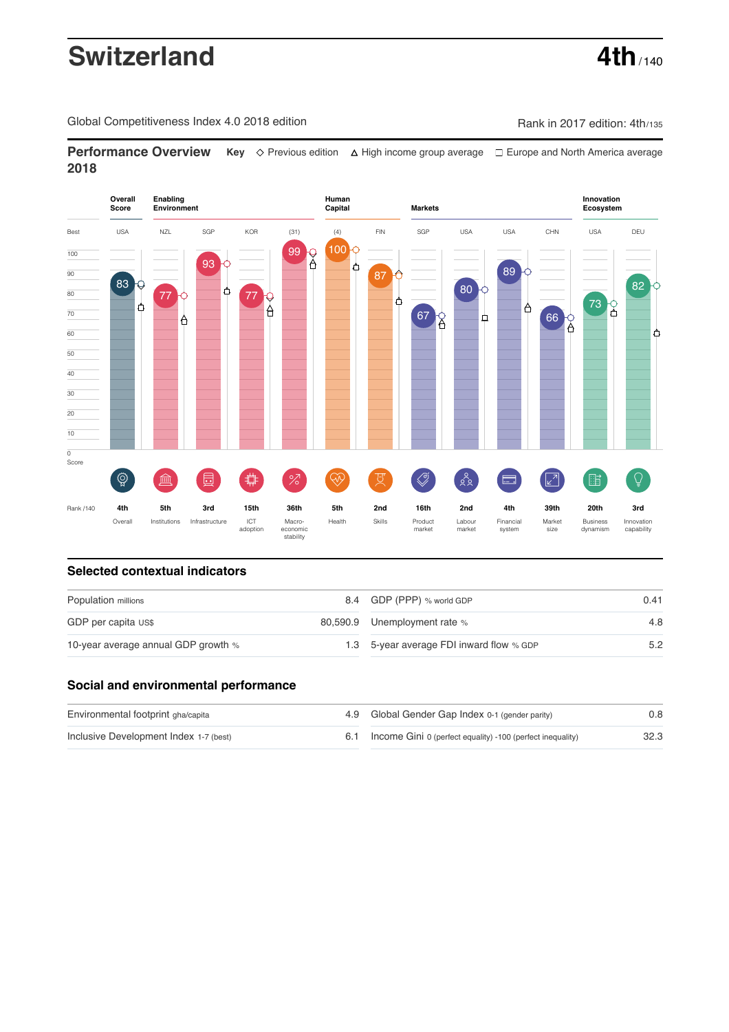# **Switzerland** 4th<sub>/140</sub>

Global Competitiveness Index 4.0 2018 edition Company Rank in 2017 edition: 4th/135

**Performance Overview** Key  $\Diamond$  Previous edition ∆ High income group average  $\Box$  Europe and North America average **2018**



# **Selected contextual indicators**

| Population millions                 |  | 8.4 GDP (PPP) % world GDP                | 0.41 |  |
|-------------------------------------|--|------------------------------------------|------|--|
| GDP per capita US\$                 |  | 80,590.9 Unemployment rate %             | 4.8  |  |
| 10-year average annual GDP growth % |  | 1.3 5-year average FDI inward flow % GDP | 5.2  |  |

# **Social and environmental performance**

| Environmental footprint gha/capita     | 4.9 Global Gender Gap Index 0-1 (gender parity)            | 0.8  |
|----------------------------------------|------------------------------------------------------------|------|
| Inclusive Development Index 1-7 (best) | Income Gini 0 (perfect equality) -100 (perfect inequality) | 32.3 |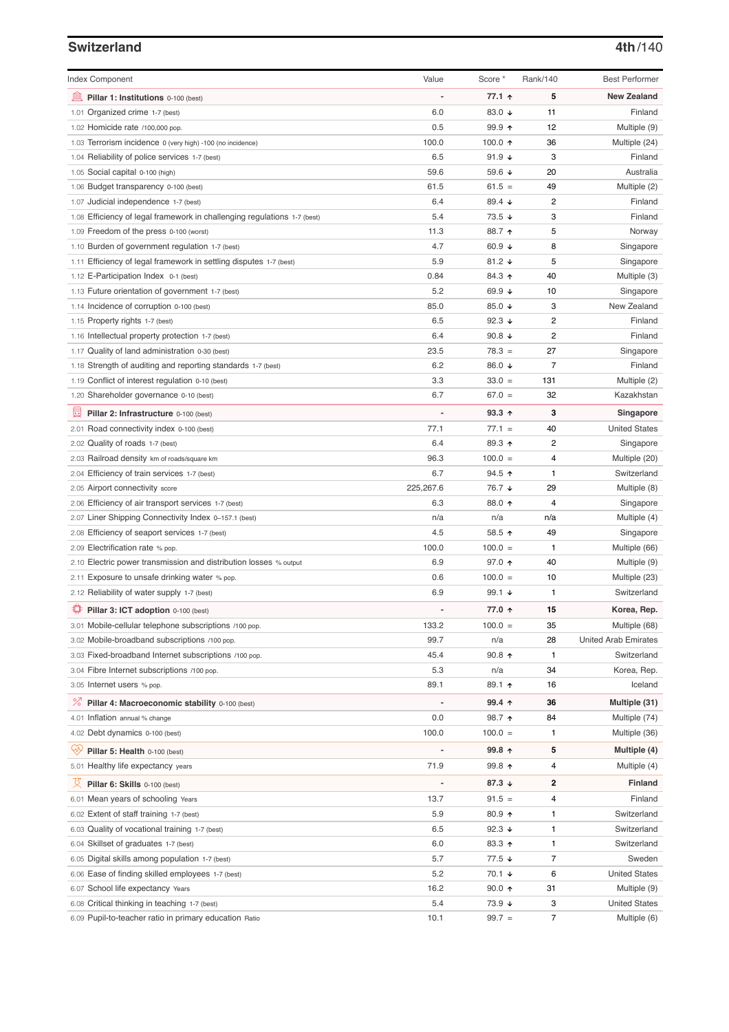### **Switzerland 4th**/140

| <b>Index Component</b>                                                                        | Value          | Score *                  | Rank/140             | <b>Best Performer</b>                |
|-----------------------------------------------------------------------------------------------|----------------|--------------------------|----------------------|--------------------------------------|
| 寙<br>Pillar 1: Institutions 0-100 (best)                                                      |                | 77.1 ↑                   | 5                    | <b>New Zealand</b>                   |
| 1.01 Organized crime 1-7 (best)                                                               | 6.0            | 83.0 $\sqrt{ }$          | 11                   | Finland                              |
| 1.02 Homicide rate /100,000 pop.                                                              | 0.5            | $99.9$ 1                 | 12                   | Multiple (9)                         |
| 1.03 Terrorism incidence 0 (very high) -100 (no incidence)                                    | 100.0          | 100.0 $\uparrow$         | 36                   | Multiple (24)                        |
| 1.04 Reliability of police services 1-7 (best)                                                | 6.5            | 91.9 $\sqrt{ }$          | 3                    | Finland                              |
| 1.05 Social capital 0-100 (high)                                                              | 59.6           | 59.6 $\sqrt{ }$          | 20                   | Australia                            |
| 1.06 Budget transparency 0-100 (best)                                                         | 61.5           | $61.5 =$                 | 49                   | Multiple (2)                         |
| 1.07 Judicial independence 1-7 (best)                                                         | 6.4            | 89.4 ↓                   | 2                    | Finland                              |
| 1.08 Efficiency of legal framework in challenging regulations 1-7 (best)                      | 5.4            | $73.5 +$                 | 3                    | Finland                              |
| 1.09 Freedom of the press 0-100 (worst)                                                       | 11.3           | 88.7 ↑                   | 5                    | Norway                               |
| 1.10 Burden of government regulation 1-7 (best)                                               | 4.7            | 60.9 $\sqrt{ }$          | 8                    | Singapore                            |
| 1.11 Efficiency of legal framework in settling disputes 1-7 (best)                            | 5.9            | 81.2 $\sqrt{ }$          | 5                    | Singapore                            |
|                                                                                               | 0.84           | 84.3 ↑                   | 40                   |                                      |
| 1.12 E-Participation Index 0-1 (best)                                                         | 5.2            | 69.9 $\sqrt{ }$          | 10                   | Multiple (3)                         |
| 1.13 Future orientation of government 1-7 (best)<br>1.14 Incidence of corruption 0-100 (best) | 85.0           | 85.0 $\sqrt{ }$          | 3                    | Singapore<br>New Zealand             |
|                                                                                               | 6.5            | 92.3 $\sqrt{ }$          | $\overline{c}$       | Finland                              |
| 1.15 Property rights 1-7 (best)                                                               | 6.4            | 90.8 $\downarrow$        | $\overline{c}$       | Finland                              |
| 1.16 Intellectual property protection 1-7 (best)                                              |                |                          |                      |                                      |
| 1.17 Quality of land administration 0-30 (best)                                               | 23.5           | $78.3 =$                 | 27<br>$\overline{7}$ | Singapore                            |
| 1.18 Strength of auditing and reporting standards 1-7 (best)                                  | 6.2            | 86.0 ↓                   |                      | Finland                              |
| 1.19 Conflict of interest regulation 0-10 (best)                                              | 3.3            | $33.0 =$                 | 131                  | Multiple (2)                         |
| 1.20 Shareholder governance 0-10 (best)                                                       | 6.7            | $67.0 =$                 | 32                   | Kazakhstan                           |
| 囩<br>Pillar 2: Infrastructure 0-100 (best)                                                    | $\overline{a}$ | $93.3$ ^                 | 3                    | Singapore                            |
| 2.01 Road connectivity index 0-100 (best)                                                     | 77.1           | $77.1 =$                 | 40                   | <b>United States</b>                 |
| 2.02 Quality of roads 1-7 (best)                                                              | 6.4            | 89.3 ↑                   | 2                    | Singapore                            |
| 2.03 Railroad density km of roads/square km                                                   | 96.3           | $100.0 =$                | 4                    | Multiple (20)                        |
| 2.04 Efficiency of train services 1-7 (best)                                                  | 6.7            | 94.5 $\uparrow$          | 1                    | Switzerland                          |
| 2.05 Airport connectivity score                                                               | 225,267.6      | 76.7 ↓                   | 29                   | Multiple (8)                         |
| 2.06 Efficiency of air transport services 1-7 (best)                                          | 6.3            | 88.0 ↑                   | 4                    | Singapore                            |
| 2.07 Liner Shipping Connectivity Index 0-157.1 (best)                                         | n/a            | n/a                      | n/a                  | Multiple (4)                         |
| 2.08 Efficiency of seaport services 1-7 (best)                                                | 4.5            | 58.5 ↑                   | 49                   | Singapore                            |
| 2.09 Electrification rate % pop.                                                              | 100.0          | $100.0 =$                | 1                    | Multiple (66)                        |
| 2.10 Electric power transmission and distribution losses % output                             | 6.9            | 97.0 ↑                   | 40                   | Multiple (9)                         |
| 2.11 Exposure to unsafe drinking water % pop.                                                 | 0.6            | $100.0 =$                | 10                   | Multiple (23)                        |
| 2.12 Reliability of water supply 1-7 (best)                                                   | 6.9            | 99.1 $\sqrt{ }$          | 1                    | Switzerland                          |
| Pillar 3: ICT adoption 0-100 (best)                                                           |                | 77.0 ↑                   | 15                   | Korea, Rep.                          |
| 3.01 Mobile-cellular telephone subscriptions /100 pop.                                        | 133.2          | $100.0 =$                | 35                   | Multiple (68)                        |
| 3.02 Mobile-broadband subscriptions /100 pop.                                                 | 99.7           | n/a                      | 28                   | <b>United Arab Emirates</b>          |
| 3.03 Fixed-broadband Internet subscriptions /100 pop.                                         | 45.4           | 90.8 $\uparrow$          | $\mathbf{1}$         | Switzerland                          |
| 3.04 Fibre Internet subscriptions /100 pop.                                                   | 5.3            | n/a                      | 34                   | Korea, Rep.                          |
| 3.05 Internet users % pop.                                                                    | 89.1           | 89.1 ↑                   | 16                   | Iceland                              |
| <b><i>S</i></b> Pillar 4: Macroeconomic stability 0-100 (best)                                | $\overline{a}$ | $99.4 \text{ } \uparrow$ | 36                   | Multiple (31)                        |
| 4.01 Inflation annual % change                                                                | 0.0            | 98.7 ↑                   | 84                   | Multiple (74)                        |
| 4.02 Debt dynamics 0-100 (best)                                                               | 100.0          | $100.0 =$                | 1                    | Multiple (36)                        |
| Ųу.<br>Pillar 5: Health 0-100 (best)                                                          | $\overline{a}$ | 99.8 个                   | 5                    | Multiple (4)                         |
| 5.01 Healthy life expectancy years                                                            | 71.9           | 99.8 ↑                   | 4                    | Multiple (4)                         |
| Pillar 6: Skills 0-100 (best)                                                                 |                | 87.3 $\downarrow$        | 2                    | <b>Finland</b>                       |
|                                                                                               |                |                          |                      |                                      |
| 6.01 Mean years of schooling Years                                                            | 13.7<br>5.9    | $91.5 =$<br>$80.9$ ↑     | 4<br>1               | Finland<br>Switzerland               |
| 6.02 Extent of staff training 1-7 (best)                                                      | 6.5            | 92.3 $\sqrt{ }$          | 1                    | Switzerland                          |
| 6.03 Quality of vocational training 1-7 (best)                                                |                |                          |                      |                                      |
| 6.04 Skillset of graduates 1-7 (best)                                                         | 6.0<br>5.7     | 83.3 个                   | 1<br>7               | Switzerland                          |
| 6.05 Digital skills among population 1-7 (best)                                               |                | $77.5 \; \downarrow$     |                      | Sweden                               |
| 6.06 Ease of finding skilled employees 1-7 (best)                                             | 5.2            | 70.1 $\sqrt{ }$          | 6                    | <b>United States</b>                 |
| 6.07 School life expectancy Years                                                             | 16.2<br>5.4    | $90.0 \text{ } \Upsilon$ | 31<br>3              | Multiple (9)<br><b>United States</b> |
| 6.08 Critical thinking in teaching 1-7 (best)                                                 |                | 73.9 ↓<br>$99.7 =$       | 7                    |                                      |
| 6.09 Pupil-to-teacher ratio in primary education Ratio                                        | 10.1           |                          |                      | Multiple (6)                         |